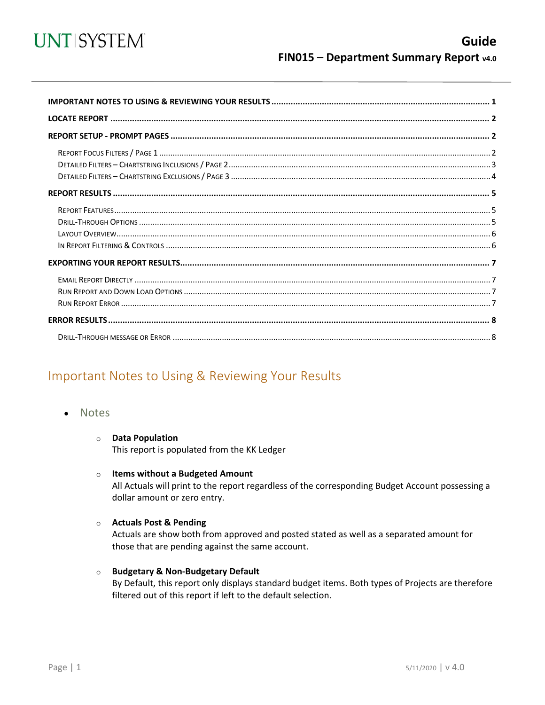

<span id="page-0-0"></span>

## Important Notes to Using & Reviewing Your Results

- Notes
	- **O** Data Population

This report is populated from the KK Ledger

#### $\circ$  Items without a Budgeted Amount

All Actuals will print to the report regardless of the corresponding Budget Account possessing a dollar amount or zero entry.

#### ○ Actuals Post & Pending

Actuals are show both from approved and posted stated as well as a separated amount for those that are pending against the same account.

o Budgetary & Non-Budgetary Default

By Default, this report only displays standard budget items. Both types of Projects are therefore filtered out of this report if left to the default selection.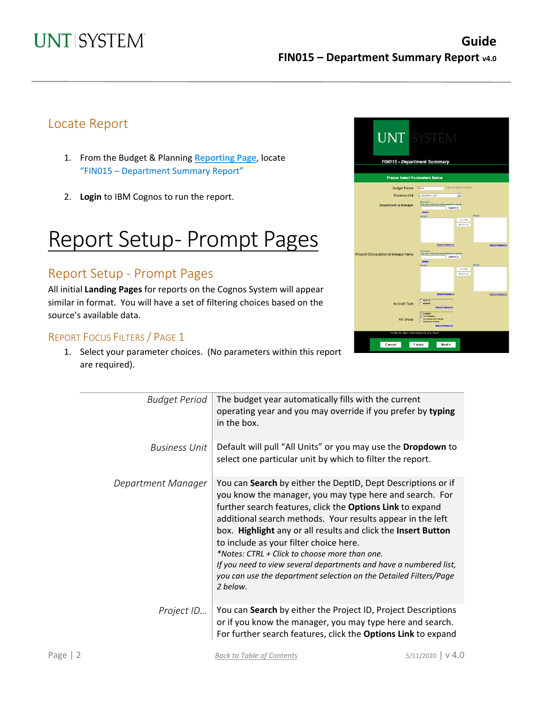## Locate Report

- 1. From the Budget & Planning **[Reporting Page](https://finance.untsystem.edu/reporting)**, locate "FIN015 – Department Summary Report"
- 2. **Login** to IBM Cognos to run the report.

# Report Setup- Prompt Pages

## Report Setup - Prompt Pages

All initial **Landing Pages** for reports on the Cognos System will appear similar in format. You will have a set of filtering choices based on the source's available data.

### REPORT FOCUS FILTERS / PAGE 1

1. Select your parameter choices. (No parameters within this report are required).

|                                        | <b>UNT SYSTEM</b><br><b>FIN015 - Department Summary</b>                               |
|----------------------------------------|---------------------------------------------------------------------------------------|
|                                        |                                                                                       |
|                                        | <b>Please Select Parameters Below</b>                                                 |
| <b>Budget Period</b>                   | (Does not impact Projects)<br>$*$ 2019                                                |
| <b>Business Unit</b>                   | p_BJS NESS_UNIT<br>$\vert \mathbf{v} \vert$                                           |
| Department or Manager                  | Keyw ord c:<br>Type one or more keyw ords separated by spaces<br>Search of            |
|                                        | Octoba <sup>10</sup><br>Cholor:<br>Recults:                                           |
|                                        | In cold #<br><b>+</b> Rem nue                                                         |
|                                        | Selectial Desearch at<br><b>Select all Deselect all</b><br>Keyw ord c:                |
| Project ID/Description or Manager Name | Type one or more keyw ords separated by spaces.<br>Search of<br>Octobra <sup>10</sup> |
|                                        | Cholor:<br>Recults:<br>$insert +$                                                     |
|                                        | * Rem ove                                                                             |
|                                        |                                                                                       |
|                                        |                                                                                       |
|                                        | <b>Sciential Description</b><br><b>Select all Deselect all</b><br>Reverse             |
| <b>Account Type</b>                    | <b>E</b> Expense<br>Seectal Deselectal                                                |
|                                        | <b>V Bulgetery</b><br><b>Non-Budgetary</b>                                            |
| <b>KK Group</b>                        | Non-Sporagres Projects<br>T Sporsored Rojects                                         |
|                                        | Select all Deselect all<br>To titer by other FoaPselements click "Next"               |
|                                        |                                                                                       |
| Cancel                                 | Finish<br>Next                                                                        |
|                                        |                                                                                       |

| <b>Budget Period</b> | The budget year automatically fills with the current<br>operating year and you may override if you prefer by typing<br>in the box.                                                                                                                                                                                                                                                                                                                                                                                                                                   |
|----------------------|----------------------------------------------------------------------------------------------------------------------------------------------------------------------------------------------------------------------------------------------------------------------------------------------------------------------------------------------------------------------------------------------------------------------------------------------------------------------------------------------------------------------------------------------------------------------|
| Business Unit        | Default will pull "All Units" or you may use the Dropdown to<br>select one particular unit by which to filter the report.                                                                                                                                                                                                                                                                                                                                                                                                                                            |
| Department Manager   | You can Search by either the DeptID, Dept Descriptions or if<br>you know the manager, you may type here and search. For<br>further search features, click the Options Link to expand<br>additional search methods. Your results appear in the left<br>box. Highlight any or all results and click the Insert Button<br>to include as your filter choice here.<br>*Notes: CTRL + Click to choose more than one.<br>If you need to view several departments and have a numbered list,<br>you can use the department selection on the Detailed Filters/Page<br>2 below. |
| Project ID           | You can Search by either the Project ID, Project Descriptions<br>or if you know the manager, you may type here and search.<br>For further search features, click the Options Link to expand                                                                                                                                                                                                                                                                                                                                                                          |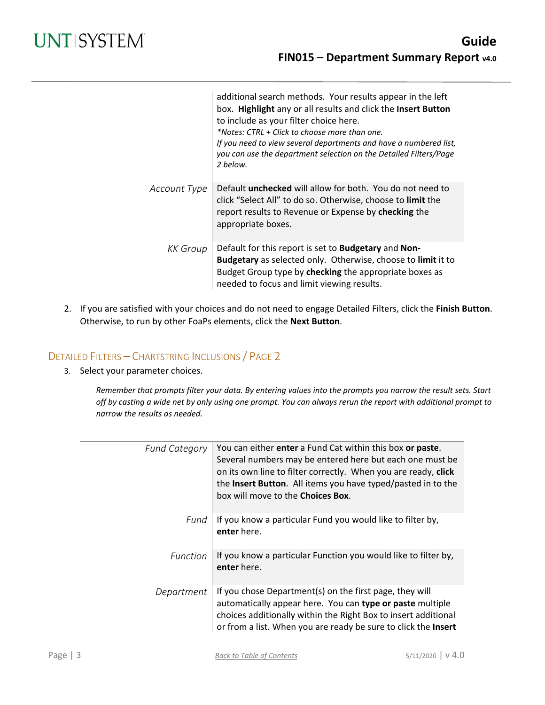|                 | additional search methods. Your results appear in the left<br>box. Highlight any or all results and click the Insert Button<br>to include as your filter choice here.<br>*Notes: CTRL + Click to choose more than one.<br>If you need to view several departments and have a numbered list,<br>you can use the department selection on the Detailed Filters/Page<br>2 below. |
|-----------------|------------------------------------------------------------------------------------------------------------------------------------------------------------------------------------------------------------------------------------------------------------------------------------------------------------------------------------------------------------------------------|
| Account Type    | Default <b>unchecked</b> will allow for both. You do not need to<br>click "Select All" to do so. Otherwise, choose to limit the<br>report results to Revenue or Expense by checking the<br>appropriate boxes.                                                                                                                                                                |
| <b>KK</b> Group | Default for this report is set to <b>Budgetary</b> and <b>Non-</b><br>Budgetary as selected only. Otherwise, choose to limit it to<br>Budget Group type by checking the appropriate boxes as<br>needed to focus and limit viewing results.                                                                                                                                   |

2. If you are satisfied with your choices and do not need to engage Detailed Filters, click the **Finish Button**. Otherwise, to run by other FoaPs elements, click the **Next Button**.

### DETAILED FILTERS – CHARTSTRING INCLUSIONS / PAGE 2

3. Select your parameter choices.

*Remember that prompts filter your data. By entering values into the prompts you narrow the result sets. Start off by casting a wide net by only using one prompt. You can always rerun the report with additional prompt to narrow the results as needed.*

| <b>Fund Category</b> | You can either enter a Fund Cat within this box or paste.<br>Several numbers may be entered here but each one must be<br>on its own line to filter correctly. When you are ready, click<br>the Insert Button. All items you have typed/pasted in to the<br>box will move to the <b>Choices Box</b> . |
|----------------------|------------------------------------------------------------------------------------------------------------------------------------------------------------------------------------------------------------------------------------------------------------------------------------------------------|
| Fund                 | If you know a particular Fund you would like to filter by,<br>enter here.                                                                                                                                                                                                                            |
| <b>Function</b>      | If you know a particular Function you would like to filter by,<br>enter here.                                                                                                                                                                                                                        |
| Department           | If you chose Department(s) on the first page, they will<br>automatically appear here. You can type or paste multiple<br>choices additionally within the Right Box to insert additional<br>or from a list. When you are ready be sure to click the Insert                                             |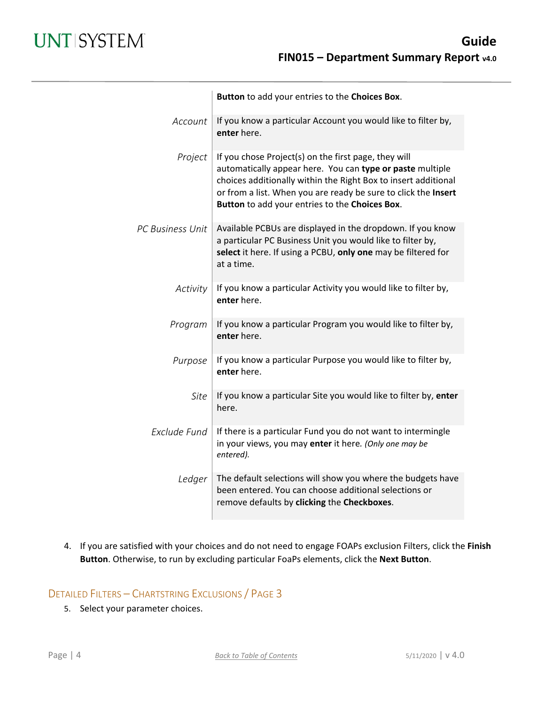|                         | Button to add your entries to the Choices Box.                                                                                                                                                                                                                                                          |
|-------------------------|---------------------------------------------------------------------------------------------------------------------------------------------------------------------------------------------------------------------------------------------------------------------------------------------------------|
| Account                 | If you know a particular Account you would like to filter by,<br>enter here.                                                                                                                                                                                                                            |
| Project                 | If you chose Project(s) on the first page, they will<br>automatically appear here. You can type or paste multiple<br>choices additionally within the Right Box to insert additional<br>or from a list. When you are ready be sure to click the Insert<br>Button to add your entries to the Choices Box. |
| <b>PC Business Unit</b> | Available PCBUs are displayed in the dropdown. If you know<br>a particular PC Business Unit you would like to filter by,<br>select it here. If using a PCBU, only one may be filtered for<br>at a time.                                                                                                 |
| Activity                | If you know a particular Activity you would like to filter by,<br>enter here.                                                                                                                                                                                                                           |
| Program                 | If you know a particular Program you would like to filter by,<br>enter here.                                                                                                                                                                                                                            |
| Purpose                 | If you know a particular Purpose you would like to filter by,<br>enter here.                                                                                                                                                                                                                            |
| Site                    | If you know a particular Site you would like to filter by, enter<br>here.                                                                                                                                                                                                                               |
| Exclude Fund            | If there is a particular Fund you do not want to intermingle<br>in your views, you may enter it here. (Only one may be<br>entered).                                                                                                                                                                     |
| Ledger                  | The default selections will show you where the budgets have<br>been entered. You can choose additional selections or<br>remove defaults by clicking the Checkboxes.                                                                                                                                     |

4. If you are satisfied with your choices and do not need to engage FOAPs exclusion Filters, click the **Finish Button**. Otherwise, to run by excluding particular FoaPs elements, click the **Next Button**.

### DETAILED FILTERS – CHARTSTRING EXCLUSIONS / PAGE 3

5. Select your parameter choices.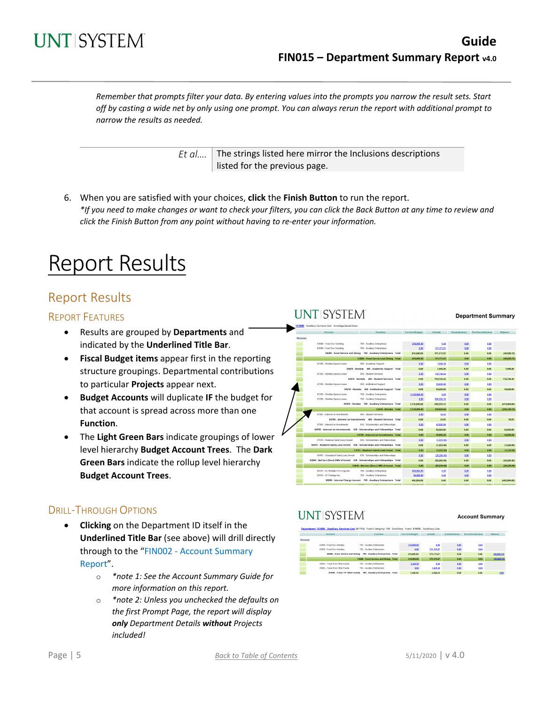

*Remember that prompts filter your data. By entering values into the prompts you narrow the result sets. Start off by casting a wide net by only using one prompt. You can always rerun the report with additional prompt to narrow the results as needed.*

> *Et al....* The strings listed here mirror the Inclusions descriptions listed for the previous page.

6. When you are satisfied with your choices, **click** the **Finish Button** to run the report. *\*If you need to make changes or want to check your filters, you can click the Back Button at any time to review and click the Finish Button from any point without having to re-enter your information.*

# Report Results

### Report Results

#### REPORT FEATURES

- Results are grouped by **Departments** and indicated by the **Underlined Title Bar**.
- **Fiscal Budget items** appear first in the reporting structure groupings. Departmental contributions to particular **Projects** appear next.
- **Budget Accounts** will duplicate **IF** the budget for that account is spread across more than one **Function**.
- The **Light Green Bars** indicate groupings of lower level hierarchy **Budget Account Trees**. The **Dark Green Bars** indicate the rollup level hierarchy **Budget Account Trees**.

#### DRILL-THROUGH OPTIONS

- **Clicking** on the Department ID itself in the **Underlined Title Bar** (see above) will drill directly through to the "FIN002 - Account Summary Report".
	- o *\*note 1: See the Account Summary Guide for more information on this report.*
	- o *\*note 2: Unless you unchecked the defaults on the first Prompt Page, the report will display only Department Details without Projects included!*

| NTISYSTEI                                                                      |                       |                |                    | <b>Department Summary</b> |                |
|--------------------------------------------------------------------------------|-----------------------|----------------|--------------------|---------------------------|----------------|
| 163000 Auxiliary Services-Gen Armitage, Daniel Dean                            |                       |                |                    |                           |                |
| Function<br>Account                                                            | <b>Current Budget</b> | <b>Actuals</b> | <b>Encumbrance</b> | Pre-Encumbrance           | Balance        |
| Revenue                                                                        |                       |                |                    |                           |                |
| 42009 - Food Svc-Vending<br>700 - Auxiliary Enterprises                        | 218 000 00            | 0.00           | 0.00               | 0.00                      |                |
| 42009 - Food Svc-Vending<br>700 - Auxiliary Enterprises                        | 0.00                  | 171,173.87     | 0.00               | 0.00                      |                |
| D4200 - Food Service and Dining 700 - Auxiliary Enterprises Total              | 218,000.00            | 171,173.87     | 0.00               | 0.00                      | (46, 826.13)   |
| C4200 - Food Service and Dining Total                                          | 218,000.00            | 171,173.87     | 0.00               | 0.00                      | (46, 826, 13)  |
| 42105 - Rentals-Space-Lease<br>400 - Academic Support                          | 0.00                  | 1,948.26       | 0.00               | 0.00                      |                |
| D4210 - Rentals 400 - Academic Support Total                                   | 0.00                  | 1,948.26       | 0.00               | 0.00                      | 1,948.26       |
| 42105 - Rentals-Space-Lease<br>500 - Student Services                          | 0.00                  | 110,746.44     | 0,00               | 0.00                      |                |
| D4210 - Rentals 500 - Student Services Total                                   | 0.00                  | 110,746.44     | 0.00               | 0.00                      | 110,746.44     |
| 42105 - Rentals-Space-Lease<br>550 - Institutional Support                     | 0.00                  | 10,620.00      | 0.00               | 0.00                      |                |
| D4210 - Rentals 550 - Institutional Support Total                              | 0.00                  | 10,620.00      | 0.00               | 0.00                      | 10,620.00      |
| 42105 - Rentals-Space-Lease<br>700 - Auxiliary Enterprises                     | 1,110,000.00          | 0.00           | 0.00               | 0.00                      |                |
| 42105 - Rentals-Space-Lease<br>700 - Auxiliary Enterprises                     | 0.00                  | 636,335.15     | 0.00               | 0.00                      |                |
| D4210 - Rentals 700 - Auxiliary Enterprises Total                              | 1,110,000.00          | 636,335.15     | 0.00               | 0.00                      | (473,664.86)   |
| C4210 - Rentala Total                                                          | 1,110,000.00          | 759,649.85     | 0.00               | 0.00                      | (350, 350, 15) |
| 47801 - Interest on Investments<br>500 - Student Services                      | 0.00                  | 34.93          | 0.00               | 0.00                      |                |
| D4780 - Interest on Investments 500 - Student Services Total                   | 0.00                  | 34.93          | 0.00               | 0.00                      | 34.93          |
| 47801 - Interest on Investments<br>630 - Scholarships and Fellowships          | 0.00                  | 42,850.89      | 0.00               | 0.00                      |                |
| D4780 - Interest on Investments 630 - Scholarships and Fellowships Total       | 0.00                  | 42,850.89      | 0.00               | 0.00                      | 42,850.89      |
| C4780 - Interest on Investments Total                                          | 0.00                  | 42,885.82      | 0.00               | 0.00                      | 42.885.82      |
| 47810 - Realized Gain/(Loss) Invest<br>630 - Scholarships and Fellowships      | 0.00                  | (1,222.56)     | 0.00               | 0.00                      |                |
| D4781 - Realized Gain/(Loss) Invest 630 - Scholarships and Fellowships Total   | 0.00                  | (1, 222, 56)   | 0.00               | 0.00                      | (1,222.56)     |
| C4781 - Realized Gain/(Loss) Invest Total                                      | 0.00                  | (1, 222.56)    | 0.00               | 0.00                      | (1, 222.56)    |
| 48401 - Unrealized Gain/(Loss) Invest<br>630 - Scholarships and Fellowships    | 0.00                  | (29,256,40)    | 0,00               | 0.00                      |                |
| D4840 - Net Incr (Decr)-FMV of Invest 630 - Scholarships and Fellowships Total | 0.00                  | (29, 256.40)   | 0.00               | 0.00                      | (29, 266.40)   |
| C4840 - Net Incr (Decr)-FMV of Invest Total                                    | 0.00                  | (29, 256, 40)  | 0.00               | 0.00                      | (29.256.40)    |
| 60147 - I/C Rentals-Frn & Egp-Inc.<br>700 - Auxiliary Enterprises              | 435,884.00            | 0.00           | 0.00               | 0.00                      |                |
| 60153 - I/C Postage-Inc.<br>700 - Auxiliary Enterprises                        | 30,000.00             | 0.00           | 0.00               | 0.00                      |                |
| D6000 - Internal Charge Income 700 - Auxiliary Enterprises Total               | 465,864.00            | 0.00           | 0.00               | 0.00                      | (465, 864.00)  |
|                                                                                |                       |                |                    |                           |                |

## **UNTISYSTEM**

**I INTISYSTEM** 

**Account Summary** 

|         |                                 | <b>PARADOLLE INSTEAD - PARADOLE PARTICIPAL DELL'USE L'ALLES DE L'AUNICIPALE LES - PARADOLE L'AUNICA - PARADOLE PARAD</b> |                       |                |             |                 |                |
|---------|---------------------------------|--------------------------------------------------------------------------------------------------------------------------|-----------------------|----------------|-------------|-----------------|----------------|
|         | Account                         | Function                                                                                                                 | <b>Current Budget</b> | <b>Actuals</b> | Focumbrance | Pre-Focumbrance | <b>Balance</b> |
| Revenue |                                 |                                                                                                                          |                       |                |             |                 |                |
|         | 42009 - Food Svc-Vending        | 700 - Auxikary Enterprises                                                                                               | 218.000.00            | 0.00           | 0.00        | 0.00            |                |
|         | 42009 - Food Syc-Vending        | 700 - Auxiliary Enterprises                                                                                              | 0.02                  | 171, 173, 87   | 0.00        | 0.02            |                |
|         | D4200 - Food Service and Dining | 700 - Auxiliary Enterprises - Total                                                                                      | 218,000,00            | 171,173,87     | 0.00        | 0.00            | (46.826.13)    |
|         |                                 | C4200 - Food Service and Dining Total                                                                                    | 218,000.00            | 171,173,87     | 0.00        | 0.00            | (46, 826, 13)  |
|         | 70003 . Trans from Other Funds  | 700 - Auxiliary Enterprises                                                                                              | 1,428.30              | 0.00           | 0.00        | 0.00            |                |
|         | 70003 - Trans from Other Funds  | 700 - Auciliary Enterprises                                                                                              | 0.02                  | 1,428.30       | 0.00        | 0.02            |                |
|         | 07000 - Trans T.F. Other Funds  | 700 - Auxiliary Enterprises - Total                                                                                      | 4.420.30              | 1,430.30       | 0.001       | 0.001           | 0.00           |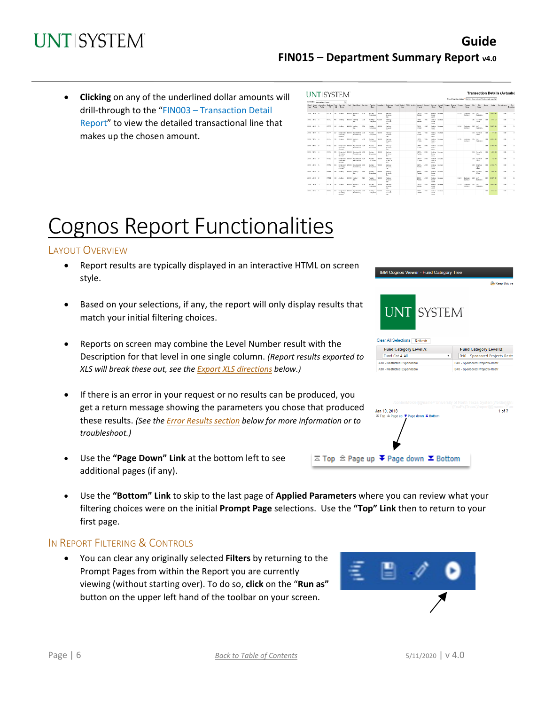• **Clicking** on any of the underlined dollar amounts will drill-through to the "FIN003 – Transaction Detail Report" to view the detailed transactional line that makes up the chosen amount.

|               | Sett Order: Decoration Period |               |             | ы                                                   |               |                                                                            |          |                                        |              |                                                                   |              |  |                                |             |                                                    |                         | Shout-bide Dem Values" De Foll allow salvatich that want to Jame W.          |             |                                |        |                                      |               |                  |             |                          |
|---------------|-------------------------------|---------------|-------------|-----------------------------------------------------|---------------|----------------------------------------------------------------------------|----------|----------------------------------------|--------------|-------------------------------------------------------------------|--------------|--|--------------------------------|-------------|----------------------------------------------------|-------------------------|------------------------------------------------------------------------------|-------------|--------------------------------|--------|--------------------------------------|---------------|------------------|-------------|--------------------------|
| Vase Buent    | <b>Cardon</b>                 | <b>Tale</b>   | <b>Cold</b> | <b>Farmer</b>                                       |               | fecal Sedant Accounting Septema Panel Ferdilles. Pund Ferdillesco Function |          | Fareton.<br><b>Farger</b>              |              | Dopetrant Opplyment Project Project PCBJ Activity<br><b>Curry</b> | <b>Bears</b> |  | Diave                          |             | Descri                                             | Tips                    | Account Account Account Account Program Program Purgues Site<br><b>Tauri</b> |             | <b>Base</b>                    |        | 2n<br>Ossor                          | <b>Budget</b> | Arked .          | Enranksware | Day.<br><b>Droumbran</b> |
| 2010 2010 0   |                               | 87712         | 130         | Audiev                                              |               | \$1000 haden<br>Gar                                                        | TC4      | Author<br>Criteratean                  | 913600       | Andrey<br>Condition<br>Geb.                                       |              |  | 04216<br>Detroit               | 42115       | Cours<br>Legge                                     | <b>Selek Search</b>     |                                                                              | \$3289      | Contentero COS<br>Contract     |        | <b>Ltd</b><br>Englisher              | 6.02          | 01073-02         | 0.30        | $^{12}$                  |
| 2018 2010 0   |                               | <b>KEYS</b>   | $\infty$    | <b>Cardian</b>                                      | <b>BIGGER</b> | <b>Juniters</b><br>Gar.                                                    | 20       | <b>Guillan</b><br>Crientenes           | \$50,000     | Andrew<br>Sendered<br>Gen.                                        |              |  | 0.4316<br><b>Gentler</b>       | 42415       | Dartish.<br>State<br><b>Links</b>                  | Searce                  |                                                                              |             |                                |        | ORD LIST Does<br><b>DOG</b>          | can           | $2 - 0.4$ 63     | 0.30        | $^{12}$                  |
| 2019 2019 0   |                               | <b>NOW</b>    |             | 130 / 600 V                                         |               | <b>BOOT ALLINE</b><br>14.44                                                | 268      | <b>GUREY</b><br>Francisco              | <b>STATE</b> | <b><i><u>ADSIM</u></i></b><br>Services<br><b>Links</b>            |              |  | <b>Ballist</b><br>PARM         | -CHS        | <b>Farth K</b><br><b>Santa</b><br><b>Education</b> | <b>EVANS</b>            |                                                                              | 13099       | Geneview, 1985 and<br>Carabica |        | Endelma                              | 6.631         | 60,0380          | 880         | $\mathbb{R}^2$           |
| 2010 1910 11  |                               | 81746         | 25          | <b>DOM AND</b><br><b>Dear of</b>                    |               | Designed Bridge Designedia (CR)<br><b>DESCRIPTION</b>                      |          | <b>SAMANY</b><br><b>LONGINIA</b>       | <b>TERR</b>  | <b>AREK</b><br><b>Manufacturer</b><br><b>Floor</b>                |              |  | 04708<br><b>DOM W</b>          | OW          | <b>FRIDAY</b><br>78.95<br><b>Distance</b>          | <b><i>INVESTIGA</i></b> |                                                                              |             |                                |        | <b>SSI Joneta</b><br>19.49           | 693           | 35.81            | 8.80        | $\sim$                   |
| trees them in |                               | 81.545        | 151         | <b>CAMBRO</b>                                       |               | <b>FREE ASSAULT</b><br><b>Mag</b>                                          | A1       | <b>CAMBRO</b><br><b>Schooler</b>       | 10.00        | <b>August</b><br>Novem.<br>Day:                                   |              |  | <b>ISA FEB</b><br><b>World</b> | 8.7880      | <b>THEFT</b><br><b>Fallen</b><br><b>Town</b>       | <b>STATES</b>           |                                                                              | 10,910      | <b>DAMAGE STA</b><br>Cashard   |        | <b>SSO</b><br>Participant            | 1.81          | <b>DE BOX 23</b> | $\sim$      | $\sim$                   |
| 2009 10:30 10 |                               | <b>BE GAY</b> | 2T'         | Outsides.<br><b>Council</b>                         |               | Desputed SOUS Department (20)<br><b>Bondary's</b>                          |          | <b>Cambro</b><br><b>Printern B</b>     | <b>FORE</b>  | $5 + 1 + 7$<br><b>Novema</b><br>Figur.                            |              |  | nere.<br><b>DOM: N</b>         | <b>COM</b>  | THE R.<br><b>Same</b><br><b>Downe</b>              | <b>Trucks</b>           |                                                                              |             |                                |        |                                      | 0.03          | Af BOISO         | 4.8         | $\sim$                   |
| 2019 2020 10  |                               | ST7C          | 2T)         | Opening<br>$C = 16$                                 |               | Designed SWEE Drawings 200<br><b>Business</b>                              |          | <b>Garden</b><br><b>Printed at the</b> | <b>HAIR</b>  | 20888<br>Scrytche<br>Cars.                                        |              |  | NOTE .<br><b>Particular</b>    | <b>OTIS</b> | <b>SHEAL</b><br><b>Family</b><br><b>Symmetry</b>   | <b>Seared</b>           |                                                                              |             |                                |        | TAX America<br><b>Bally</b>          | 5.93          | <b>COLLE</b>     | a so        | $\mathcal{O}$            |
| 285 2810 6    |                               | <b>STYP</b>   | w           | Outsides<br><b>Control</b>                          |               | Document SIDES Departments 708<br>Obervilleran                             |          | <b>Author</b><br><b>Driveries</b>      | <b>HAW</b>   | <b>ADAM</b><br>Scotting<br>Cm.                                    |              |  | 04218 -<br>Drinke              | 47185       | <b>Seattle</b><br><b>Lower</b>                     | Spille Spows            |                                                                              |             |                                |        | USS Save Oil<br>Finant               | 1.53          | 125,831          | $+ 80$      | $^{46}$                  |
| 2011 2010 4   |                               | 97763         | 333         | Drawwird \$1533<br><b>Committee</b><br><b>Group</b> |               | Department 700<br>Obzeitnen                                                |          | Audiey<br><b>Printmann</b>             | ersex        | Antigo<br><b>Senders</b><br>Con.                                  |              |  | DATE:<br>Dentals               | 42111       | Same.<br>Lease.                                    | Seddy Scores            |                                                                              |             |                                |        | <b>CBD</b> Ziria Tire<br>RN<br>19,80 | can           | 11,326,713       | 0.30        | $^{12}$                  |
| 2013 2010 1   |                               | <b>KEYO</b>   | oc.         | <b>Gardian</b>                                      |               | States Andrew<br>Aar                                                       | 708      | Audiey<br>Cristofoss                   | ettent       | Apdiga<br>Services<br>Gan                                         |              |  | name.<br><b>Design</b>         | 42115       | Sauce<br>Lease                                     | Debis, Dearer           |                                                                              |             |                                |        | 285 UAT Ford<br><b>Office</b>        | can           | 1,554.55         | 9.30        | $\mathcal{U}$            |
| 2010 2010 5   |                               | aPH1          | 120         | <b>Audiev</b>                                       |               | \$10000 Audien-<br>dar                                                     | TOP      | Audiey.<br>Cristopher                  | 153400       | Apd an<br>Centered<br>Gan.                                        |              |  | 04216 -<br><b>Beatles</b>      | 42115       | <b>Saraha-</b><br><b>Same</b><br>Lease             | <b>Bayansa</b>          |                                                                              | 43749       | Dockstere :<br>Contract        | $-285$ | <b>USP</b><br>Contentes              | 693           | 68 873 40        | 0.30        | t.                       |
| 2011 2010 0   |                               | 87712         | $\infty$    | Author                                              |               | <b>BIDDER JUNEAUX</b><br>Gar.                                              | $\infty$ | Author<br>Critectere                   | 923600       | Andrew<br>Condition<br>Gen.                                       |              |  | 04216<br>Genevin               | 42113       | <b>Swink</b><br>Costa<br>Lease                     | Investo                 |                                                                              | <b>COST</b> | Contentero CBS<br>Control      |        | <b>Ltd</b><br>Ennistma               | 642           | <b>CA 873 KO</b> | 0.30        | $^{12}$                  |
| 2010 00:00 0  |                               | <b>NTPS2</b>  | 302         | Concertibut                                         |               | Captaronal MODES Captaronary 708<br><b>Distances</b>                       |          | <b>CAUSEY</b><br><b>Concrete</b>       | 1000000      | Andrew<br><b>Contractor</b>                                       |              |  | 0.4396<br><b>SAFAK</b>         | 22187       | <b>Santa</b>                                       | Detail Dealer           |                                                                              |             |                                |        |                                      | 6.63          | 3,500,000        | 8.30        | $\overline{\phantom{a}}$ |

# Cognos Report Functionalities

#### LAYOUT OVERVIEW

- Report results are typically displayed in an interactive HTML on screen style.
- Based on your selections, if any, the report will only display results that match your initial filtering choices.
- Reports on screen may combine the Level Number result with the Description for that level in one single column. *(Report results exported to XLS will break these out, see the Export XLS directions below.)*
- If there is an error in your request or no results can be produced, you get a return message showing the parameters you chose that produced these results. *(See th[e Error Results section](#page-6-0) below for more information or to troubleshoot.)*
- Use the **"Page Down" Link** at the bottom left to see additional pages (if any).
- Use the **"Bottom" Link** to skip to the last page of **Applied Parameters** where you can review what your filtering choices were on the initial **Prompt Page** selections. Use the **"Top" Link** then to return to your first page.

 $\overline{\sim}$  Top  $\hat{\approx}$  Page

#### IN REPORT FILTERING & CONTROLS

• You can clear any originally selected **Filters** by returning to the Prompt Pages from within the Report you are currently viewing (without starting over). To do so, **click** on the "**Run as"**  button on the upper left hand of the toolbar on your screen.





| Jan 10, 2018                                            | (FoaPs)Trees')/report(@name='Funo<br>1 of 2 |
|---------------------------------------------------------|---------------------------------------------|
| <b>Z Top  <sup>2</sup> Page up ₹ Page down Σ Bottom</b> |                                             |
|                                                         |                                             |
|                                                         |                                             |
|                                                         |                                             |
|                                                         |                                             |
|                                                         |                                             |
| up ↓ Page down ∑ Bottom                                 |                                             |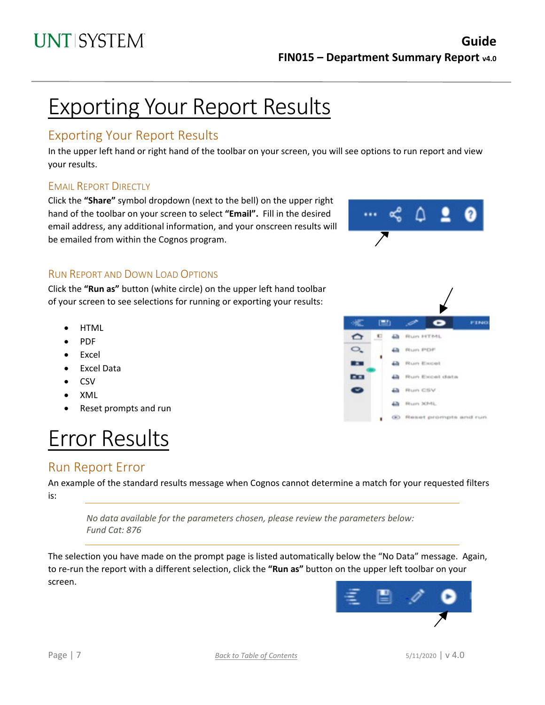# Exporting Your Report Results

### Exporting Your Report Results

In the upper left hand or right hand of the toolbar on your screen, you will see options to run report and view your results.

### EMAIL REPORT DIRECTLY

Click the **"Share"** symbol dropdown (next to the bell) on the upper right hand of the toolbar on your screen to select **"Email".** Fill in the desired email address, any additional information, and your onscreen results will be emailed from within the Cognos program.



### RUN REPORT AND DOWN LOAD OPTIONS

Click the **"Run as"** button (white circle) on the upper left hand toolbar of your screen to see selections for running or exporting your results:

- HTML
- PDF
- Excel
- Excel Data
- CSV
- XML
- Reset prompts and run

# Error Results

### <span id="page-6-0"></span>Run Report Error

An example of the standard results message when Cognos cannot determine a match for your requested filters is:

*No data available for the parameters chosen, please review the parameters below: Fund Cat: 876*

The selection you have made on the prompt page is listed automatically below the "No Data" message. Again, to re-run the report with a different selection, click the **"Run as"** button on the upper left toolbar on your screen.